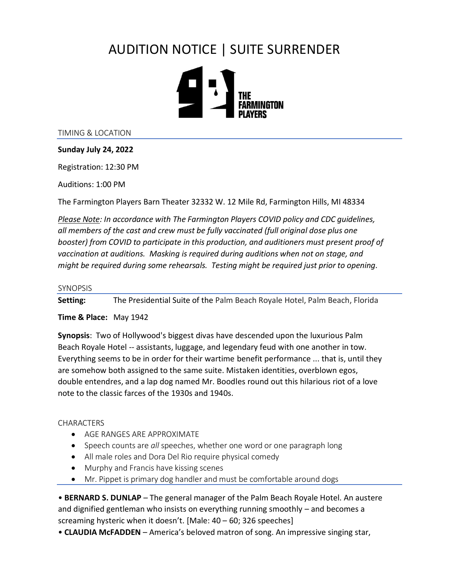# AUDITION NOTICE | SUITE SURRENDER



TIMING & LOCATION

### **Sunday July 24, 2022**

Registration: 12:30 PM

Auditions: 1:00 PM

The Farmington Players Barn Theater 32332 W. 12 Mile Rd, Farmington Hills, MI 48334

*Please Note: In accordance with The Farmington Players COVID policy and CDC guidelines, all members of the cast and crew must be fully vaccinated (full original dose plus one booster) from COVID to participate in this production, and auditioners must present proof of vaccination at auditions. Masking is required during auditions when not on stage, and might be required during some rehearsals. Testing might be required just prior to opening.*

#### **SYNOPSIS**

**Setting:** The Presidential Suite of the Palm Beach Royale Hotel, Palm Beach, Florida

### **Time & Place:** May 1942

**Synopsis**: Two of Hollywood's biggest divas have descended upon the luxurious Palm Beach Royale Hotel -- assistants, luggage, and legendary feud with one another in tow. Everything seems to be in order for their wartime benefit performance ... that is, until they are somehow both assigned to the same suite. Mistaken identities, overblown egos, double entendres, and a lap dog named Mr. Boodles round out this hilarious riot of a love note to the classic farces of the 1930s and 1940s.

### **CHARACTERS**

- AGE RANGES ARE APPROXIMATE
- Speech counts are *all* speeches, whether one word or one paragraph long
- All male roles and Dora Del Rio require physical comedy
- Murphy and Francis have kissing scenes
- Mr. Pippet is primary dog handler and must be comfortable around dogs

• **BERNARD S. DUNLAP** – The general manager of the Palm Beach Royale Hotel. An austere and dignified gentleman who insists on everything running smoothly – and becomes a screaming hysteric when it doesn't. [Male: 40 – 60; 326 speeches]

• **CLAUDIA McFADDEN** – America's beloved matron of song. An impressive singing star,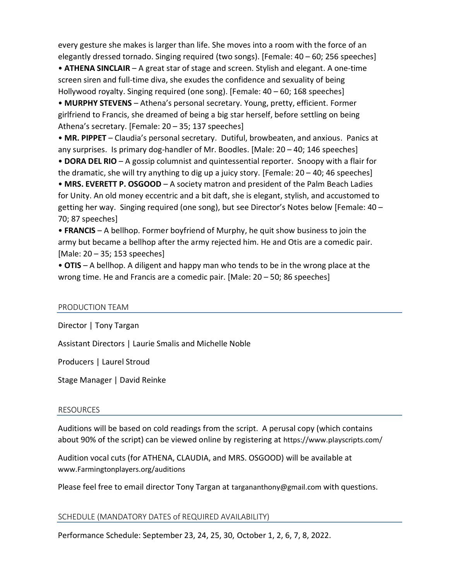every gesture she makes is larger than life. She moves into a room with the force of an elegantly dressed tornado. Singing required (two songs). [Female: 40 – 60; 256 speeches]

• **ATHENA SINCLAIR** – A great star of stage and screen. Stylish and elegant. A one-time screen siren and full-time diva, she exudes the confidence and sexuality of being Hollywood royalty. Singing required (one song). [Female: 40 – 60; 168 speeches]

• **MURPHY STEVENS** – Athena's personal secretary. Young, pretty, efficient. Former girlfriend to Francis, she dreamed of being a big star herself, before settling on being Athena's secretary. [Female: 20 – 35; 137 speeches]

• **MR. PIPPET** – Claudia's personal secretary. Dutiful, browbeaten, and anxious. Panics at any surprises. Is primary dog-handler of Mr. Boodles. [Male:  $20 - 40$ ; 146 speeches]

• **DORA DEL RIO** – A gossip columnist and quintessential reporter. Snoopy with a flair for the dramatic, she will try anything to dig up a juicy story. [Female: 20 – 40; 46 speeches]

• **MRS. EVERETT P. OSGOOD** – A society matron and president of the Palm Beach Ladies for Unity. An old money eccentric and a bit daft, she is elegant, stylish, and accustomed to getting her way. Singing required (one song), but see Director's Notes below [Female: 40 – 70; 87 speeches]

• **FRANCIS** – A bellhop. Former boyfriend of Murphy, he quit show business to join the army but became a bellhop after the army rejected him. He and Otis are a comedic pair. [Male: 20 – 35; 153 speeches]

• **OTIS** – A bellhop. A diligent and happy man who tends to be in the wrong place at the wrong time. He and Francis are a comedic pair. [Male: 20 – 50; 86 speeches]

### PRODUCTION TEAM

Director | Tony Targan

Assistant Directors | Laurie Smalis and Michelle Noble

Producers | Laurel Stroud

Stage Manager | David Reinke

### RESOURCES

Auditions will be based on cold readings from the script. A perusal copy (which contains about 90% of the script) can be viewed online by registering at <https://www.playscripts.com/>

Audition vocal cuts (for ATHENA, CLAUDIA, and MRS. OSGOOD) will be available at [www.Farmingtonplayers.org/auditions](http://www.farmingtonplayers.org/auditions)

Please feel free to email director Tony Targan at [targananthony@gmail.com](mailto:dreinke472@aol.com) with questions.

### SCHEDULE (MANDATORY DATES of REQUIRED AVAILABILITY)

Performance Schedule: September 23, 24, 25, 30, October 1, 2, 6, 7, 8, 2022.